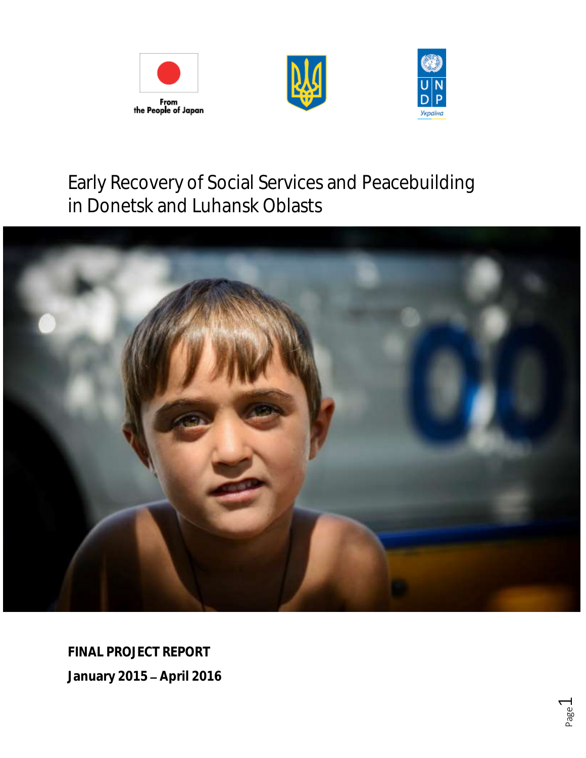





# Early Recovery of Social Services and Peacebuilding in Donetsk and Luhansk Oblasts



**FINAL PROJECT REPORT January 2015 April 2016**

> Page  $\overline{\phantom{0}}$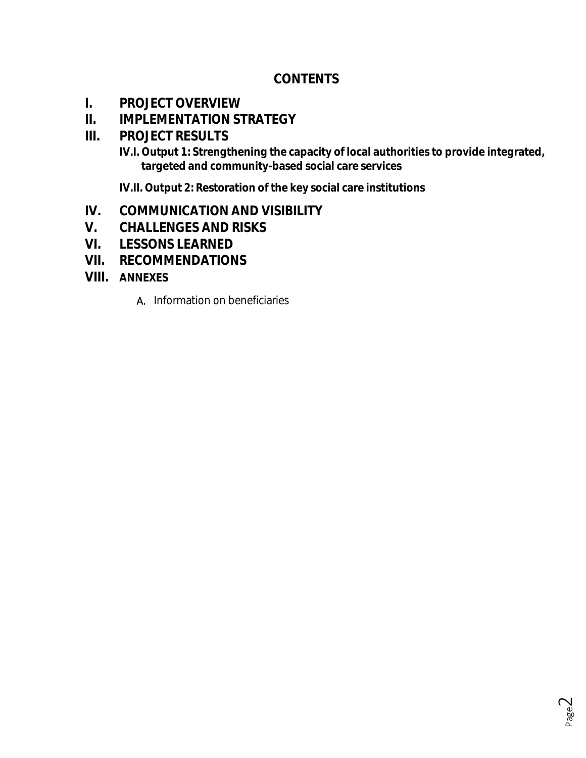## **CONTENTS**

- **I. PROJECT OVERVIEW**
- **II. IMPLEMENTATION STRATEGY**
- **III. PROJECT RESULTS**
	- **IV.I. Output 1: Strengthening the capacity of local authorities to provide integrated, targeted and community-based social care services**

**IV.II. Output 2: Restoration of the key social care institutions**

- **IV. COMMUNICATION AND VISIBILITY**
- **V. CHALLENGES AND RISKS**
- **VI. LESSONS LEARNED**
- **VII. RECOMMENDATIONS**
- **VIII. ANNEXES**
	- A. Information on beneficiaries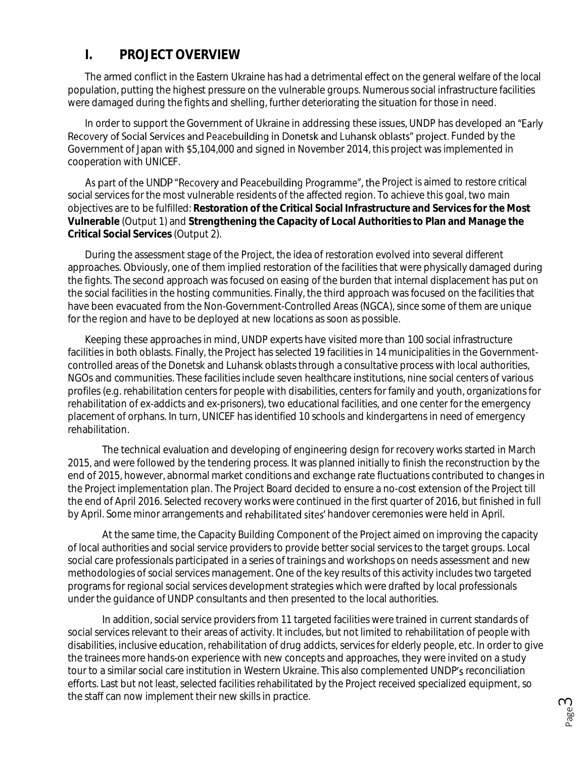## **I. PROJECT OVERVIEW**

The armed conflict in the Eastern Ukraine has had a detrimental effect on the general welfare of the local population, putting the highest pressure on the vulnerable groups. Numerous social infrastructure facilities were damaged during the fights and shelling, further deteriorating the situation for those in need.

In order to support the Government of Ukraine in addressing these issues, UNDP has developed an "Early Recovery of Social Services and Peacebuilding in Donetsk and Luhansk oblasts" project. Funded by the Government of Japan with \$5,104,000 and signed in November 2014, this project was implemented in cooperation with UNICEF.

As part of the UNDP "Recovery and Peacebuilding Programme", the Project is aimed to restore critical social services for the most vulnerable residents of the affected region. To achieve this goal, two main objectives are to be fulfilled: **Restoration of the Critical Social Infrastructure and Services for the Most Vulnerable** (Output 1) and **Strengthening the Capacity of Local Authorities to Plan and Manage the Critical Social Services** (Output 2).

During the assessment stage of the Project, the idea of restoration evolved into several different approaches. Obviously, one of them implied restoration of the facilities that were physically damaged during the fights. The second approach was focused on easing of the burden that internal displacement has put on the social facilities in the hosting communities. Finally, the third approach was focused on the facilities that have been evacuated from the Non-Government-Controlled Areas (NGCA), since some of them are unique for the region and have to be deployed at new locations as soon as possible.

Keeping these approaches in mind, UNDP experts have visited more than 100 social infrastructure facilities in both oblasts. Finally, the Project has selected 19 facilities in 14 municipalities in the Governmentcontrolled areas of the Donetsk and Luhansk oblasts through a consultative process with local authorities, NGOs and communities. These facilities include seven healthcare institutions, nine social centers of various profiles (e.g. rehabilitation centers for people with disabilities, centers for family and youth, organizations for rehabilitation of ex-addicts and ex-prisoners), two educational facilities, and one center for the emergency placement of orphans. In turn, UNICEF has identified 10 schools and kindergartens in need of emergency rehabilitation.

The technical evaluation and developing of engineering design for recovery works started in March 2015, and were followed by the tendering process. It was planned initially to finish the reconstruction by the end of 2015, however, abnormal market conditions and exchange rate fluctuations contributed to changes in the Project implementation plan. The Project Board decided to ensure a no-cost extension of the Project till the end of April 2016. Selected recovery works were continued in the first quarter of 2016, but finished in full by April. Some minor arrangements and rehabilitated sites' handover ceremonies were held in April.

At the same time, the Capacity Building Component of the Project aimed on improving the capacity of local authorities and social service providers to provide better social services to the target groups. Local social care professionals participated in a series of trainings and workshops on needs assessment and new methodologies of social services management. One of the key results of this activity includes two targeted programs for regional social services development strategies which were drafted by local professionals under the guidance of UNDP consultants and then presented to the local authorities.

In addition, social service providers from 11 targeted facilities were trained in current standards of social services relevant to their areas of activity. It includes, but not limited to rehabilitation of people with disabilities, inclusive education, rehabilitation of drug addicts, services for elderly people, etc. In order to give the trainees more hands-on experience with new concepts and approaches, they were invited on a study tour to a similar social care institution in Western Ukraine. This also complemented UNDP's reconciliation efforts. Last but not least, selected facilities rehabilitated by the Project received specialized equipment, so the staff can now implement their new skills in practice.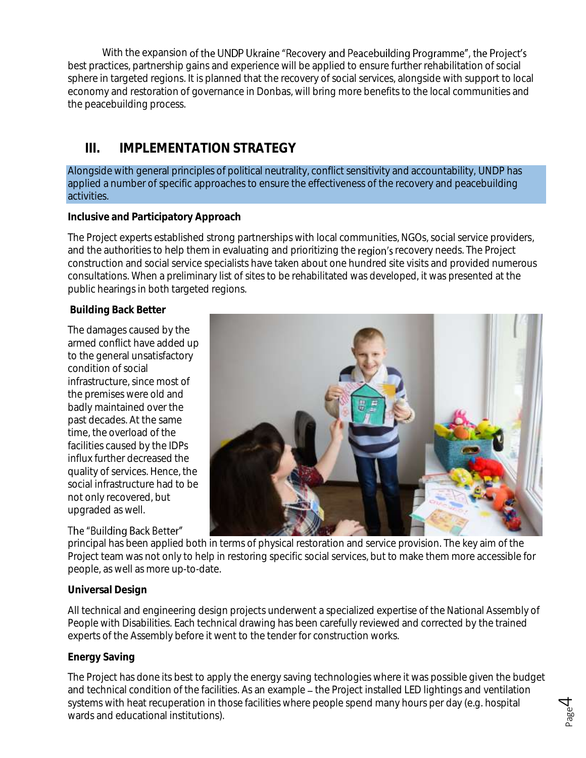With the expansion of the UNDP Ukraine "Recovery and Peacebuilding Programme", the Project's best practices, partnership gains and experience will be applied to ensure further rehabilitation of social sphere in targeted regions. It is planned that the recovery of social services, alongside with support to local economy and restoration of governance in Donbas, will bring more benefits to the local communities and the peacebuilding process.

## **III. IMPLEMENTATION STRATEGY**

Alongside with general principles of political neutrality, conflict sensitivity and accountability, UNDP has applied a number of specific approaches to ensure the effectiveness of the recovery and peacebuilding activities.

#### **Inclusive and Participatory Approach**

The Project experts established strong partnerships with local communities, NGOs, social service providers, and the authorities to help them in evaluating and prioritizing the region's recovery needs. The Project construction and social service specialists have taken about one hundred site visits and provided numerous consultations. When a preliminary list of sites to be rehabilitated was developed, it was presented at the public hearings in both targeted regions.

**Building Back Better**

The damages caused by the armed conflict have added up to the general unsatisfactory condition of social infrastructure, since most of the premises were old and badly maintained over the past decades. At the same time, the overload of the facilities caused by the IDPs influx further decreased the quality of services. Hence, the social infrastructure had to be not only recovered, but upgraded as well.

#### The "Building Back Better"



principal has been applied both in terms of physical restoration and service provision. The key aim of the Project team was not only to help in restoring specific social services, but to make them more accessible for people, as well as more up-to-date.

#### **Universal Design**

All technical and engineering design projects underwent a specialized expertise of the National Assembly of People with Disabilities. Each technical drawing has been carefully reviewed and corrected by the trained experts of the Assembly before it went to the tender for construction works.

#### **Energy Saving**

The Project has done its best to apply the energy saving technologies where it was possible given the budget and technical condition of the facilities. As an example – the Project installed LED lightings and ventilation systems with heat recuperation in those facilities where people spend many hours per day (e.g. hospital wards and educational institutions).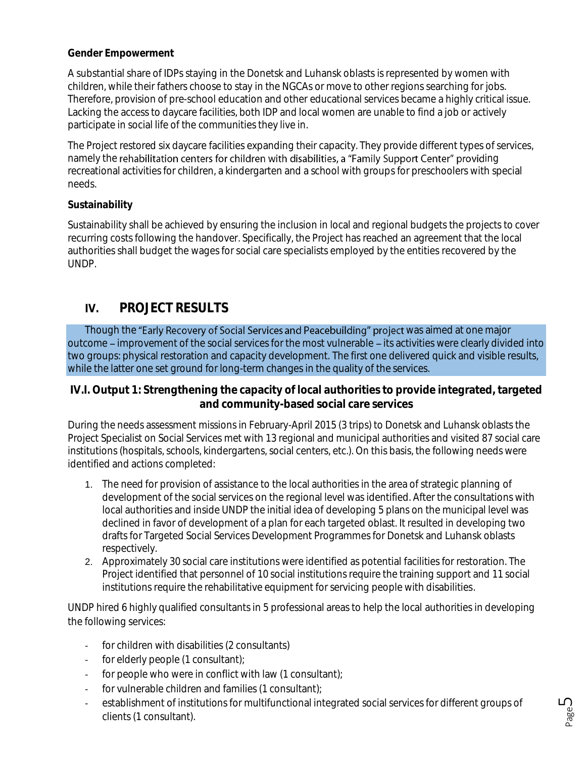#### **Gender Empowerment**

A substantial share of IDPs staying in the Donetsk and Luhansk oblasts is represented by women with children, while their fathers choose to stay in the NGCAs or move to other regions searching for jobs. Therefore, provision of pre-school education and other educational services became a highly critical issue. Lacking the access to daycare facilities, both IDP and local women are unable to find a job or actively participate in social life of the communities they live in.

The Project restored six daycare facilities expanding their capacity. They provide different types of services, namely the rehabilitation centers for children with disabilities, a "Family Support Center" providing recreational activities for children, a kindergarten and a school with groups for preschoolers with special needs.

#### **Sustainability**

Sustainability shall be achieved by ensuring the inclusion in local and regional budgets the projects to cover recurring costs following the handover. Specifically, the Project has reached an agreement that the local authorities shall budget the wages for social care specialists employed by the entities recovered by the UNDP.

### **IV. PROJECT RESULTS**

Though the "Early Recovery of Social Services and Peacebuilding" project was aimed at one major outcome – improvement of the social services for the most vulnerable – its activities were clearly divided into two groups: physical restoration and capacity development. The first one delivered quick and visible results, while the latter one set ground for long-term changes in the quality of the services.

**IV.I. Output 1: Strengthening the capacity of local authorities to provide integrated, targeted and community-based social care services**

During the needs assessment missions in February-April 2015 (3 trips) to Donetsk and Luhansk oblasts the Project Specialist on Social Services met with 13 regional and municipal authorities and visited 87 social care institutions (hospitals, schools, kindergartens, social centers, etc.). On this basis, the following needs were identified and actions completed:

- 1. The need for provision of assistance to the local authorities in the area of strategic planning of development of the social services on the regional level was identified. After the consultations with local authorities and inside UNDP the initial idea of developing 5 plans on the municipal level was declined in favor of development of a plan for each targeted oblast. It resulted in developing two drafts for Targeted Social Services Development Programmes for Donetsk and Luhansk oblasts respectively.
- 2. Approximately 30 social care institutions were identified as potential facilities for restoration. The Project identified that personnel of 10 social institutions require the training support and 11 social institutions require the rehabilitative equipment for servicing people with disabilities.

UNDP hired 6 highly qualified consultants in 5 professional areas to help the local authorities in developing the following services:

- for children with disabilities (2 consultants)
- for elderly people (1 consultant);
- for people who were in conflict with law (1 consultant);
- for vulnerable children and families (1 consultant);
- establishment of institutions for multifunctional integrated social services for different groups of clients (1 consultant).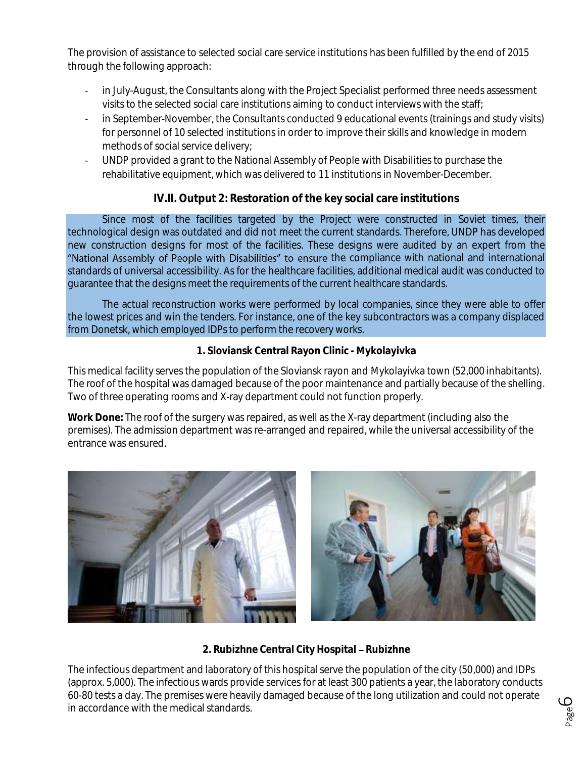The provision of assistance to selected social care service institutions has been fulfilled by the end of 2015 through the following approach:

- in July-August, the Consultants along with the Project Specialist performed three needs assessment visits to the selected social care institutions aiming to conduct interviews with the staff;
- in September-November, the Consultants conducted 9 educational events (trainings and study visits) for personnel of 10 selected institutions in order to improve their skills and knowledge in modern methods of social service delivery;
- UNDP provided a grant to the National Assembly of People with Disabilities to purchase the rehabilitative equipment, which was delivered to 11 institutions in November-December.

### **IV.II. Output 2: Restoration of the key social care institutions**

Since most of the facilities targeted by the Project were constructed in Soviet times, their technological design was outdated and did not meet the current standards. Therefore, UNDP has developed new construction designs for most of the facilities. These designs were audited by an expert from the "National Assembly of People with Disabilities" to ensure the compliance with national and international standards of universal accessibility. As for the healthcare facilities, additional medical audit was conducted to guarantee that the designs meet the requirements of the current healthcare standards.

The actual reconstruction works were performed by local companies, since they were able to offer the lowest prices and win the tenders. For instance, one of the key subcontractors was a company displaced from Donetsk, which employed IDPs to perform the recovery works.

#### **1. Sloviansk Central Rayon Clinic - Mykolayivka**

This medical facility serves the population of the Sloviansk rayon and Mykolayivka town (52,000 inhabitants). The roof of the hospital was damaged because of the poor maintenance and partially because of the shelling. Two of three operating rooms and X-ray department could not function properly.

**Work Done:** The roof of the surgery was repaired, as well as the X-ray department (including also the premises). The admission department was re-arranged and repaired, while the universal accessibility of the entrance was ensured.



#### 2. Rubizhne Central City Hospital - Rubizhne

The infectious department and laboratory of this hospital serve the population of the city (50,000) and IDPs (approx. 5,000). The infectious wards provide services for at least 300 patients a year, the laboratory conducts 60-80 tests a day. The premises were heavily damaged because of the long utilization and could not operate in accordance with the medical standards.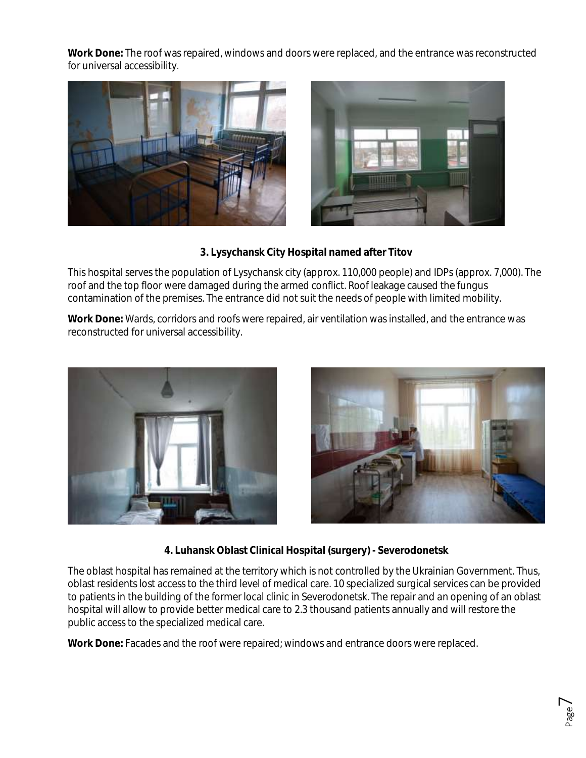**Work Done:** The roof was repaired, windows and doors were replaced, and the entrance was reconstructed for universal accessibility.





**3. Lysychansk City Hospital named after Titov**

This hospital serves the population of Lysychansk city (approx. 110,000 people) and IDPs (approx. 7,000). The roof and the top floor were damaged during the armed conflict. Roof leakage caused the fungus contamination of the premises. The entrance did not suit the needs of people with limited mobility.

**Work Done:** Wards, corridors and roofs were repaired, air ventilation was installed, and the entrance was reconstructed for universal accessibility.





**4. Luhansk Oblast Clinical Hospital (surgery) - Severodonetsk**

The oblast hospital has remained at the territory which is not controlled by the Ukrainian Government. Thus, oblast residents lost access to the third level of medical care. 10 specialized surgical services can be provided to patients in the building of the former local clinic in Severodonetsk. The repair and an opening of an oblast hospital will allow to provide better medical care to 2.3 thousand patients annually and will restore the public access to the specialized medical care.

**Work Done:** Facades and the roof were repaired; windows and entrance doors were replaced.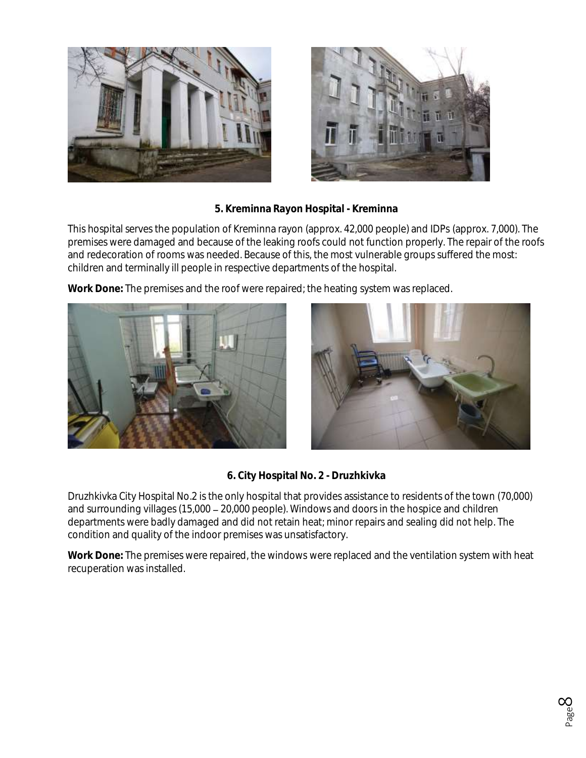



**5. Kreminna Rayon Hospital - Kreminna**

This hospital serves the population of Kreminna rayon (approx. 42,000 people) and IDPs (approx. 7,000). The premises were damaged and because of the leaking roofs could not function properly. The repair of the roofs and redecoration of rooms was needed. Because of this, the most vulnerable groups suffered the most: children and terminally ill people in respective departments of the hospital.

**Work Done:** The premises and the roof were repaired; the heating system was replaced.





**6. City Hospital No. 2 - Druzhkivka**

Druzhkivka City Hospital No.2 is the only hospital that provides assistance to residents of the town (70,000) and surrounding villages (15,000 20,000 people). Windows and doors in the hospice and children departments were badly damaged and did not retain heat; minor repairs and sealing did not help. The condition and quality of the indoor premises was unsatisfactory.

**Work Done:** The premises were repaired, the windows were replaced and the ventilation system with heat recuperation was installed.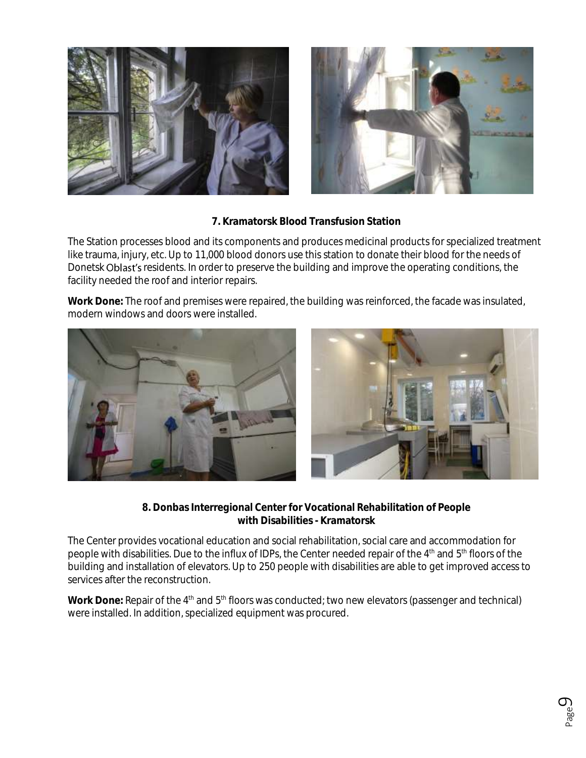



**7. Kramatorsk Blood Transfusion Station**

The Station processes blood and its components and produces medicinal products for specialized treatment like trauma, injury, etc. Up to 11,000 blood donors use this station to donate their blood for the needs of Donetsk Oblast's residents. In order to preserve the building and improve the operating conditions, the facility needed the roof and interior repairs.

**Work Done:** The roof and premises were repaired, the building was reinforced, the facade was insulated, modern windows and doors were installed.



**8. Donbas Interregional Center for Vocational Rehabilitation of People with Disabilities - Kramatorsk**

The Center provides vocational education and social rehabilitation, social care and accommodation for people with disabilities. Due to the influx of IDPs, the Center needed repair of the 4<sup>th</sup> and 5<sup>th</sup> floors of the building and installation of elevators. Up to 250 people with disabilities are able to get improved access to services after the reconstruction.

Work Done: Repair of the 4<sup>th</sup> and 5<sup>th</sup> floors was conducted; two new elevators (passenger and technical) were installed. In addition, specialized equipment was procured.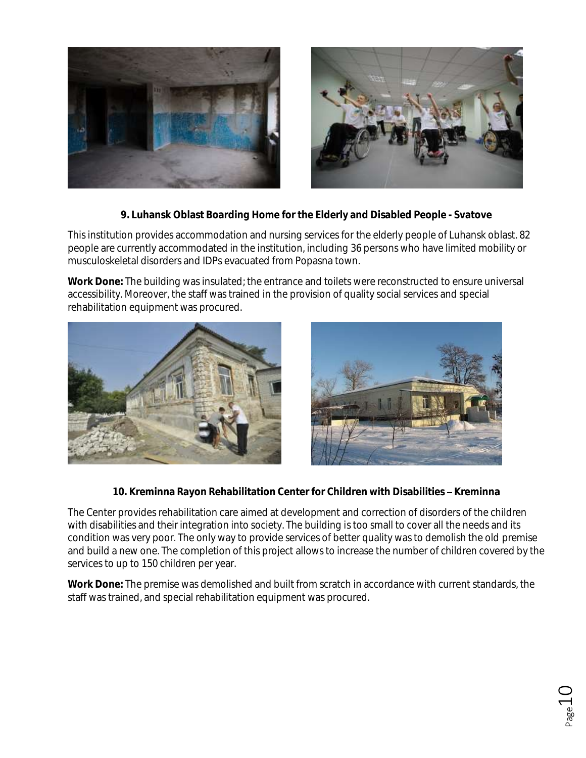



**9. Luhansk Oblast Boarding Home for the Elderly and Disabled People - Svatove**

This institution provides accommodation and nursing services for the elderly people of Luhansk oblast. 82 people are currently accommodated in the institution, including 36 persons who have limited mobility or musculoskeletal disorders and IDPs evacuated from Popasna town.

**Work Done:** The building was insulated; the entrance and toilets were reconstructed to ensure universal accessibility. Moreover, the staff was trained in the provision of quality social services and special rehabilitation equipment was procured.





10. Kreminna Rayon Rehabilitation Center for Children with Disabilities - Kreminna

The Center provides rehabilitation care aimed at development and correction of disorders of the children with disabilities and their integration into society. The building is too small to cover all the needs and its condition was very poor. The only way to provide services of better quality was to demolish the old premise and build a new one. The completion of this project allows to increase the number of children covered by the services to up to 150 children per year.

**Work Done:** The premise was demolished and built from scratch in accordance with current standards, the staff was trained, and special rehabilitation equipment was procured.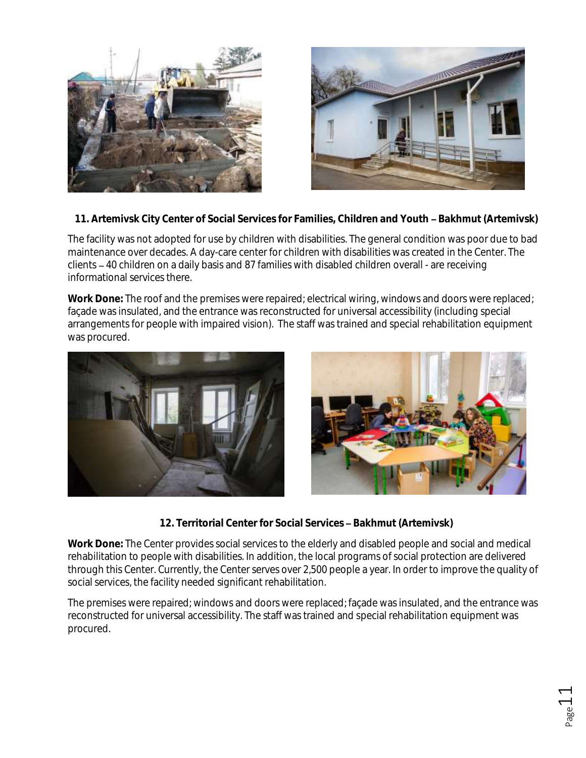



11. Artemivsk City Center of Social Services for Families, Children and Youth - Bakhmut (Artemivsk)

The facility was not adopted for use by children with disabilities. The general condition was poor due to bad maintenance over decades. A day-care center for children with disabilities was created in the Center. The clients 40 children on a daily basis and 87 families with disabled children overall - are receiving informational services there.

**Work Done:** The roof and the premises were repaired; electrical wiring, windows and doors were replaced; façade was insulated, and the entrance was reconstructed for universal accessibility (including special arrangements for people with impaired vision). The staff was trained and special rehabilitation equipment was procured.



12. Territorial Center for Social Services - Bakhmut (Artemivsk)

**Work Done:** The Center provides social services to the elderly and disabled people and social and medical rehabilitation to people with disabilities. In addition, the local programs of social protection are delivered through this Center. Currently, the Center serves over 2,500 people a year. In order to improve the quality of social services, the facility needed significant rehabilitation.

The premises were repaired; windows and doors were replaced; façade was insulated, and the entrance was reconstructed for universal accessibility. The staff was trained and special rehabilitation equipment was procured.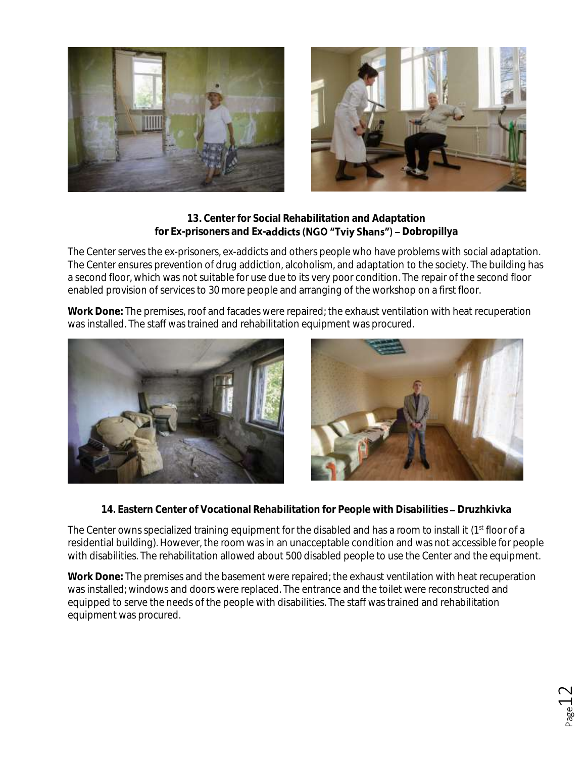



**13. Center for Social Rehabilitation and Adaptation**  for Ex-prisoners and Ex-addicts (NGO "Tviy Shans") - Dobropillya

The Center serves the ex-prisoners, ex-addicts and others people who have problems with social adaptation. The Center ensures prevention of drug addiction, alcoholism, and adaptation to the society. The building has a second floor, which was not suitable for use due to its very poor condition. The repair of the second floor enabled provision of services to 30 more people and arranging of the workshop on a first floor.

**Work Done:** The premises, roof and facades were repaired; the exhaust ventilation with heat recuperation was installed. The staff was trained and rehabilitation equipment was procured.





14. Eastern Center of Vocational Rehabilitation for People with Disabilities - Druzhkivka

The Center owns specialized training equipment for the disabled and has a room to install it (1<sup>st</sup> floor of a residential building). However, the room was in an unacceptable condition and was not accessible for people with disabilities. The rehabilitation allowed about 500 disabled people to use the Center and the equipment.

**Work Done:** The premises and the basement were repaired; the exhaust ventilation with heat recuperation was installed; windows and doors were replaced. The entrance and the toilet were reconstructed and equipped to serve the needs of the people with disabilities. The staff was trained and rehabilitation equipment was procured.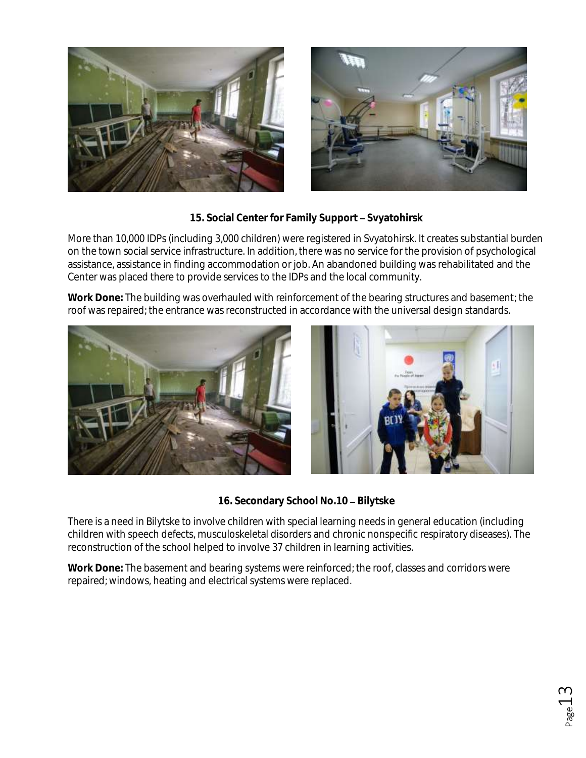



15. Social Center for Family Support - Svyatohirsk

More than 10,000 IDPs (including 3,000 children) were registered in Svyatohirsk. It creates substantial burden on the town social service infrastructure. In addition, there was no service for the provision of psychological assistance, assistance in finding accommodation or job. An abandoned building was rehabilitated and the Center was placed there to provide services to the IDPs and the local community.

**Work Done:** The building was overhauled with reinforcement of the bearing structures and basement; the roof was repaired; the entrance was reconstructed in accordance with the universal design standards.





16. Secondary School No.10 - Bilytske

There is a need in Bilytske to involve children with special learning needs in general education (including children with speech defects, musculoskeletal disorders and chronic nonspecific respiratory diseases). The reconstruction of the school helped to involve 37 children in learning activities.

**Work Done:** The basement and bearing systems were reinforced; the roof, classes and corridors were repaired; windows, heating and electrical systems were replaced.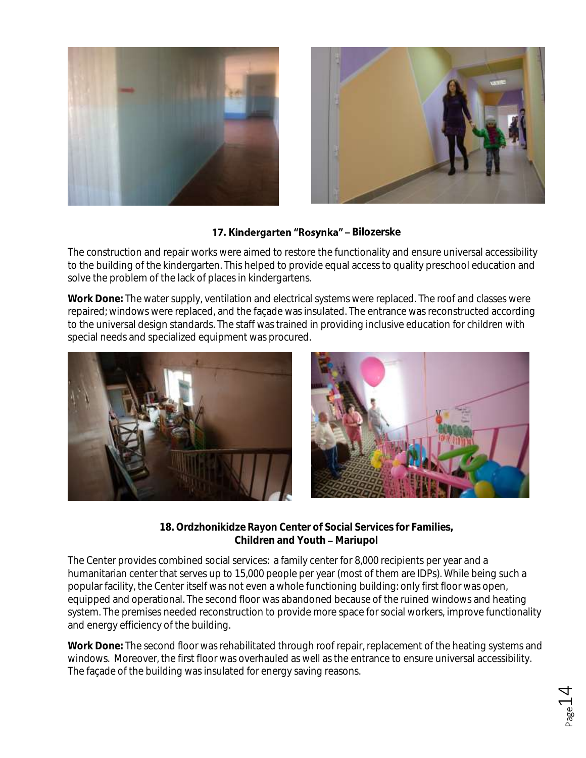



#### 17. Kindergarten "Rosynka" - Bilozerske

The construction and repair works were aimed to restore the functionality and ensure universal accessibility to the building of the kindergarten. This helped to provide equal access to quality preschool education and solve the problem of the lack of places in kindergartens.

**Work Done:** The water supply, ventilation and electrical systems were replaced. The roof and classes were repaired; windows were replaced, and the façade was insulated. The entrance was reconstructed according to the universal design standards. The staff was trained in providing inclusive education for children with special needs and specialized equipment was procured.



**18. Ordzhonikidze Rayon Center of Social Services for Families, Children and Youth - Mariupol** 

The Center provides combined social services: a family center for 8,000 recipients per year and a humanitarian center that serves up to 15,000 people per year (most of them are IDPs). While being such a popular facility, the Center itself was not even a whole functioning building: only first floor was open, equipped and operational. The second floor was abandoned because of the ruined windows and heating system. The premises needed reconstruction to provide more space for social workers, improve functionality and energy efficiency of the building.

**Work Done:** The second floor was rehabilitated through roof repair, replacement of the heating systems and windows. Moreover, the first floor was overhauled as well as the entrance to ensure universal accessibility. The façade of the building was insulated for energy saving reasons.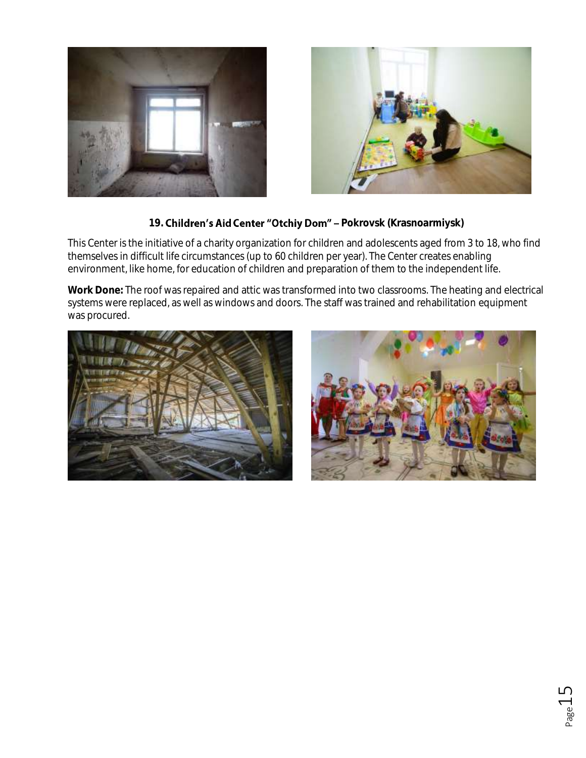



#### 19. **Children's Aid Center "Otchiy Dom"** - Pokrovsk (Krasnoarmiysk)

This Center is the initiative of a charity organization for children and adolescents aged from 3 to 18, who find themselves in difficult life circumstances (up to 60 children per year). The Center creates enabling environment, like home, for education of children and preparation of them to the independent life.

**Work Done:** The roof was repaired and attic was transformed into two classrooms. The heating and electrical systems were replaced, as well as windows and doors. The staff was trained and rehabilitation equipment was procured.



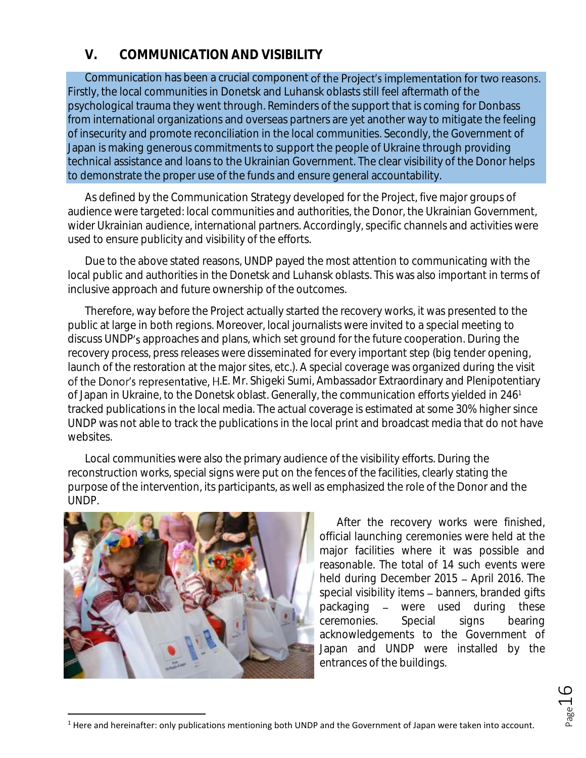## **V. COMMUNICATION AND VISIBILITY**

Communication has been a crucial component of the Project's implementation for two reasons. Firstly, the local communities in Donetsk and Luhansk oblasts still feel aftermath of the psychological trauma they went through. Reminders of the support that is coming for Donbass from international organizations and overseas partners are yet another way to mitigate the feeling of insecurity and promote reconciliation in the local communities. Secondly, the Government of Japan is making generous commitments to support the people of Ukraine through providing technical assistance and loans to the Ukrainian Government. The clear visibility of the Donor helps to demonstrate the proper use of the funds and ensure general accountability.

As defined by the Communication Strategy developed for the Project, five major groups of audience were targeted: local communities and authorities, the Donor, the Ukrainian Government, wider Ukrainian audience, international partners. Accordingly, specific channels and activities were used to ensure publicity and visibility of the efforts.

Due to the above stated reasons, UNDP payed the most attention to communicating with the local public and authorities in the Donetsk and Luhansk oblasts. This was also important in terms of inclusive approach and future ownership of the outcomes.

Therefore, way before the Project actually started the recovery works, it was presented to the public at large in both regions. Moreover, local journalists were invited to a special meeting to discuss UNDP's approaches and plans, which set ground for the future cooperation. During the recovery process, press releases were disseminated for every important step (big tender opening, launch of the restoration at the major sites, etc.). A special coverage was organized during the visit of the Donor's representative, H.E. Mr. Shigeki Sumi, Ambassador Extraordinary and Plenipotentiary of Japan in Ukraine, to the Donetsk oblast. Generally, the communication efforts yielded in 246<sup>1</sup> tracked publications in the local media. The actual coverage is estimated at some 30% higher since UNDP was not able to track the publications in the local print and broadcast media that do not have websites.

Local communities were also the primary audience of the visibility efforts. During the reconstruction works, special signs were put on the fences of the facilities, clearly stating the purpose of the intervention, its participants, as well as emphasized the role of the Donor and the UNDP.



 $\ddot{\phantom{a}}$ 

After the recovery works were finished, official launching ceremonies were held at the major facilities where it was possible and reasonable. The total of 14 such events were held during December 2015 - April 2016. The special visibility items - banners, branded gifts packaging – were used during these ceremonies. Special signs bearing acknowledgements to the Government of Japan and UNDP were installed by the entrances of the buildings.

<sup>&</sup>lt;sup>1</sup> Here and hereinafter: only publications mentioning both UNDP and the Government of Japan were taken into account.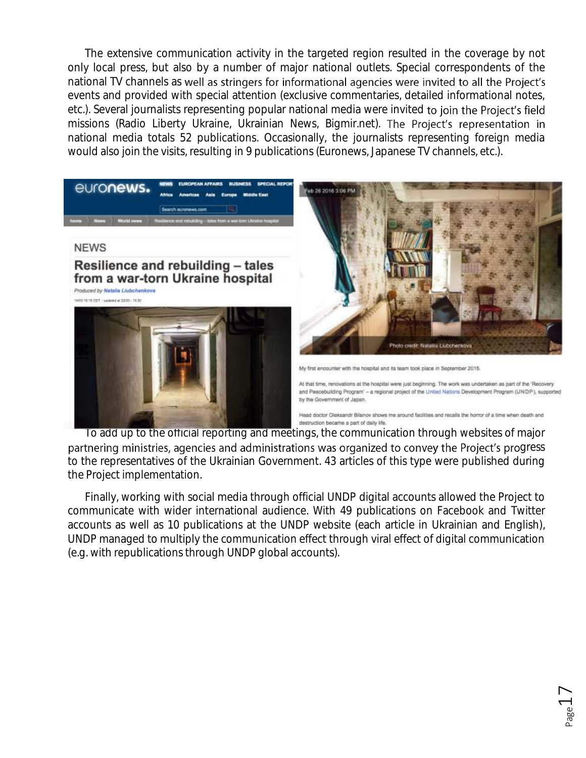The extensive communication activity in the targeted region resulted in the coverage by not only local press, but also by a number of major national outlets. Special correspondents of the national TV channels as well as stringers for informational agencies were invited to all the Project's events and provided with special attention (exclusive commentaries, detailed informational notes, etc.). Several journalists representing popular national media were invited to join the Project's field missions (Radio Liberty Ukraine, Ukrainian News, Bigmir.net). The Project's representation in national media totals 52 publications. Occasionally, the journalists representing foreign media would also join the visits, resulting in 9 publications (Euronews, Japanese TV channels, etc.).



To add up to the official reporting and meetings, the communication through websites of major partnering ministries, agencies and administrations was organized to convey the Project's progress to the representatives of the Ukrainian Government. 43 articles of this type were published during the Project implementation.

Finally, working with social media through official UNDP digital accounts allowed the Project to communicate with wider international audience. With 49 publications on Facebook and Twitter accounts as well as 10 publications at the UNDP website (each article in Ukrainian and English), UNDP managed to multiply the communication effect through viral effect of digital communication (e.g. with republications through UNDP global accounts).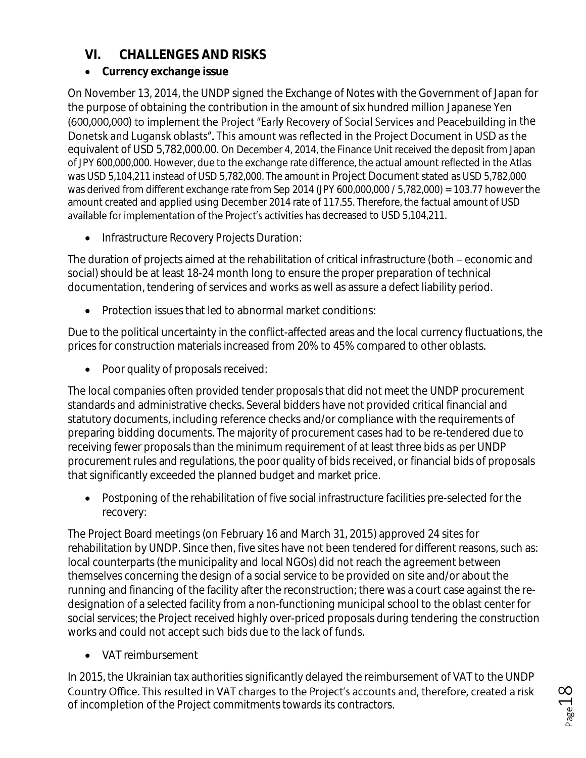## **VI. CHALLENGES AND RISKS**

**Currency exchange issue**

On November 13, 2014, the UNDP signed the Exchange of Notes with the Government of Japan for the purpose of obtaining the contribution in the amount of six hundred million Japanese Yen (600,000,000) to implement the Project "Early Recovery of Social Services and Peacebuilding in the Donetsk and Lugansk oblasts". This amount was reflected in the Project Document in USD as the equivalent of USD 5,782,000.00. On December 4, 2014, the Finance Unit received the deposit from Japan of JPY 600,000,000. However, due to the exchange rate difference, the actual amount reflected in the Atlas was USD 5,104,211 instead of USD 5,782,000. The amount in Project Document stated as USD 5,782,000 was derived from different exchange rate from Sep 2014 (JPY 600,000,000 / 5,782,000) = 103.77 however the amount created and applied using December 2014 rate of 117.55. Therefore, the factual amount of USD available for implementation of the Project's activities has decreased to USD 5,104,211.

**•** Infrastructure Recovery Projects Duration:

The duration of projects aimed at the rehabilitation of critical infrastructure (both – economic and social) should be at least 18-24 month long to ensure the proper preparation of technical documentation, tendering of services and works as well as assure a defect liability period.

Protection issues that led to abnormal market conditions:

Due to the political uncertainty in the conflict-affected areas and the local currency fluctuations, the prices for construction materials increased from 20% to 45% compared to other oblasts.

• Poor quality of proposals received:

The local companies often provided tender proposals that did not meet the UNDP procurement standards and administrative checks. Several bidders have not provided critical financial and statutory documents, including reference checks and/or compliance with the requirements of preparing bidding documents. The majority of procurement cases had to be re-tendered due to receiving fewer proposals than the minimum requirement of at least three bids as per UNDP procurement rules and regulations, the poor quality of bids received, or financial bids of proposals that significantly exceeded the planned budget and market price.

 Postponing of the rehabilitation of five social infrastructure facilities pre-selected for the recovery:

The Project Board meetings (on February 16 and March 31, 2015) approved 24 sites for rehabilitation by UNDP. Since then, five sites have not been tendered for different reasons, such as: local counterparts (the municipality and local NGOs) did not reach the agreement between themselves concerning the design of a social service to be provided on site and/or about the running and financing of the facility after the reconstruction; there was a court case against the redesignation of a selected facility from a non-functioning municipal school to the oblast center for social services; the Project received highly over-priced proposals during tendering the construction works and could not accept such bids due to the lack of funds.

• VAT reimbursement

In 2015, the Ukrainian tax authorities significantly delayed the reimbursement of VAT to the UNDP Country Office. This resulted in VAT charges to the Project's accounts and, therefore, created a risk of incompletion of the Project commitments towards its contractors.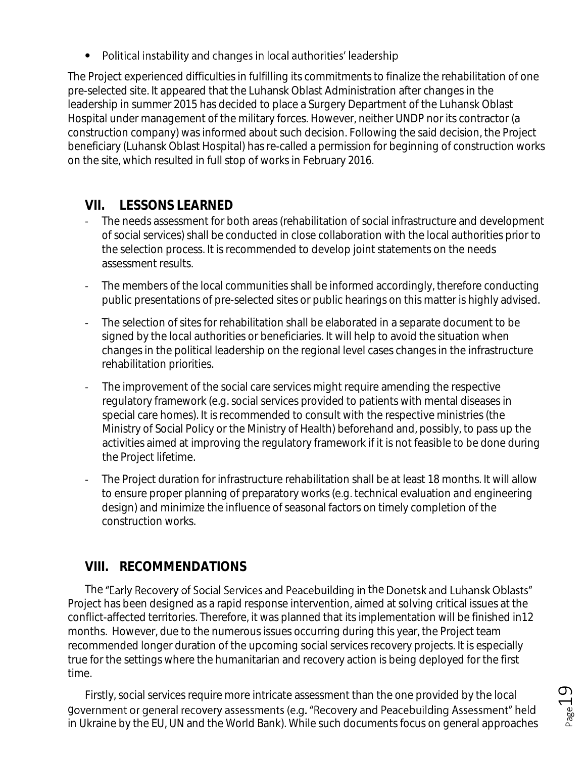• Political instability and changes in local authorities' leadership

The Project experienced difficulties in fulfilling its commitments to finalize the rehabilitation of one pre-selected site. It appeared that the Luhansk Oblast Administration after changes in the leadership in summer 2015 has decided to place a Surgery Department of the Luhansk Oblast Hospital under management of the military forces. However, neither UNDP nor its contractor (a construction company) was informed about such decision. Following the said decision, the Project beneficiary (Luhansk Oblast Hospital) has re-called a permission for beginning of construction works on the site, which resulted in full stop of works in February 2016.

# **VII. LESSONS LEARNED**

- The needs assessment for both areas (rehabilitation of social infrastructure and development of social services) shall be conducted in close collaboration with the local authorities prior to the selection process. It is recommended to develop joint statements on the needs assessment results.
- The members of the local communities shall be informed accordingly, therefore conducting public presentations of pre-selected sites or public hearings on this matter is highly advised.
- The selection of sites for rehabilitation shall be elaborated in a separate document to be signed by the local authorities or beneficiaries. It will help to avoid the situation when changes in the political leadership on the regional level cases changes in the infrastructure rehabilitation priorities.
- The improvement of the social care services might require amending the respective regulatory framework (e.g. social services provided to patients with mental diseases in special care homes). It is recommended to consult with the respective ministries (the Ministry of Social Policy or the Ministry of Health) beforehand and, possibly, to pass up the activities aimed at improving the regulatory framework if it is not feasible to be done during the Project lifetime.
- The Project duration for infrastructure rehabilitation shall be at least 18 months. It will allow to ensure proper planning of preparatory works (e.g. technical evaluation and engineering design) and minimize the influence of seasonal factors on timely completion of the construction works.

## **VIII. RECOMMENDATIONS**

The "Early Recovery of Social Services and Peacebuilding in the Donetsk and Luhansk Oblasts" Project has been designed as a rapid response intervention, aimed at solving critical issues at the conflict-affected territories. Therefore, it was planned that its implementation will be finished in12 months. However, due to the numerous issues occurring during this year, the Project team recommended longer duration of the upcoming social services recovery projects. It is especially true for the settings where the humanitarian and recovery action is being deployed for the first time.

Firstly, social services require more intricate assessment than the one provided by the local government or general recovery assessments (e.g. "Recovery and Peacebuilding Assessment" held in Ukraine by the EU, UN and the World Bank). While such documents focus on general approaches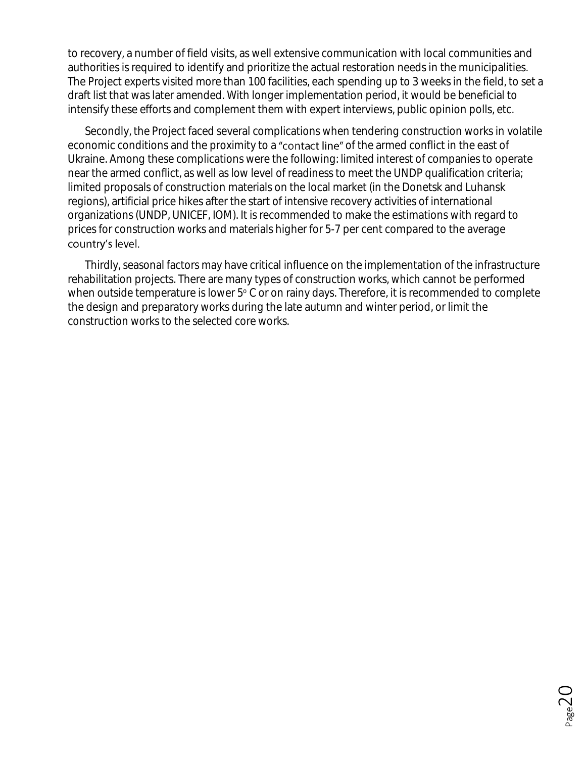to recovery, a number of field visits, as well extensive communication with local communities and authorities is required to identify and prioritize the actual restoration needs in the municipalities. The Project experts visited more than 100 facilities, each spending up to 3 weeks in the field, to set a draft list that was later amended. With longer implementation period, it would be beneficial to intensify these efforts and complement them with expert interviews, public opinion polls, etc.

Secondly, the Project faced several complications when tendering construction works in volatile economic conditions and the proximity to a "contact line" of the armed conflict in the east of Ukraine. Among these complications were the following: limited interest of companies to operate near the armed conflict, as well as low level of readiness to meet the UNDP qualification criteria; limited proposals of construction materials on the local market (in the Donetsk and Luhansk regions), artificial price hikes after the start of intensive recovery activities of international organizations (UNDP, UNICEF, IOM). It is recommended to make the estimations with regard to prices for construction works and materials higher for 5-7 per cent compared to the average country's level.

Thirdly, seasonal factors may have critical influence on the implementation of the infrastructure rehabilitation projects. There are many types of construction works, which cannot be performed when outside temperature is lower  $5^{\circ}$  C or on rainy days. Therefore, it is recommended to complete the design and preparatory works during the late autumn and winter period, or limit the construction works to the selected core works.